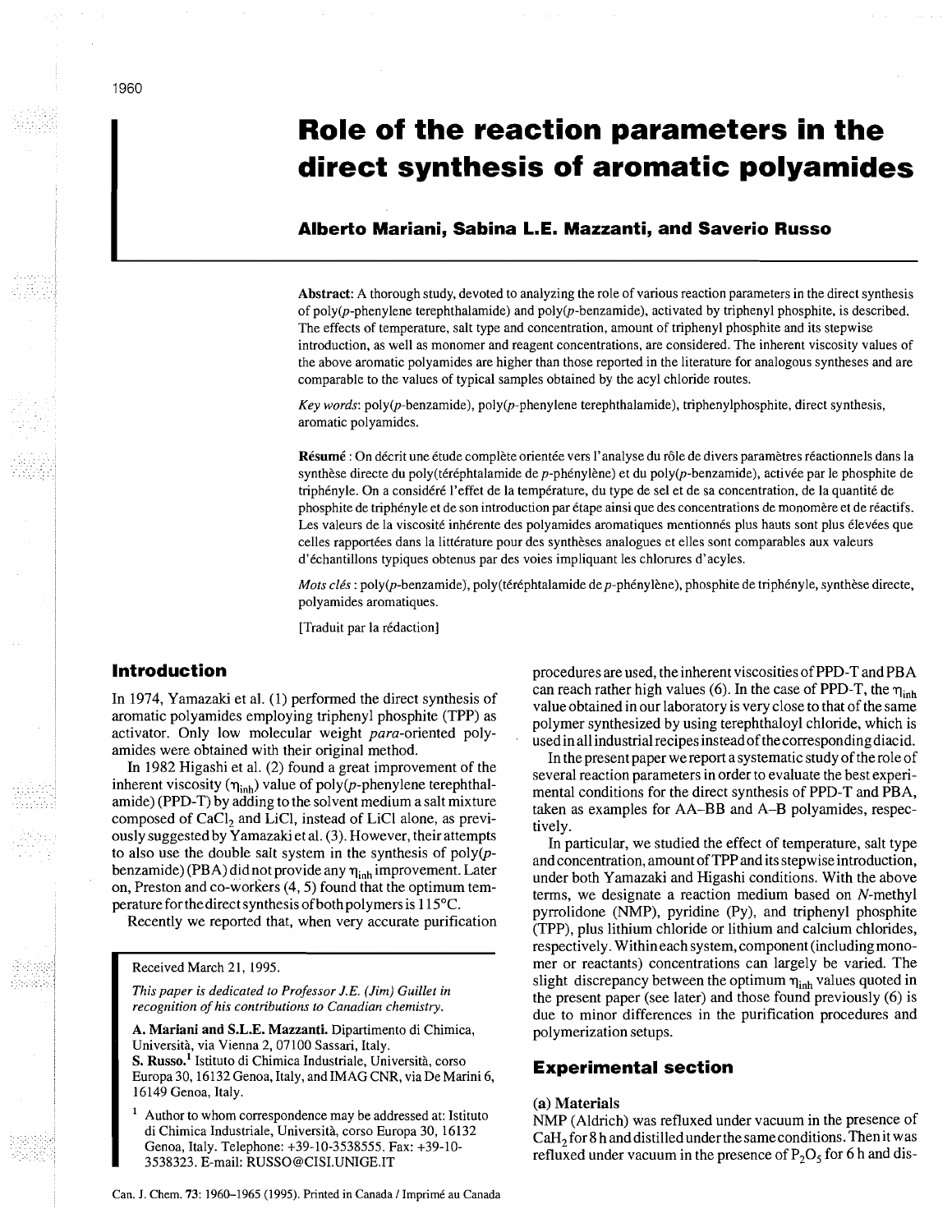# **Role of the reaction parameters in the direct synthesis of aromatic polyamides**

# **Alberto Mariani, Sabina L.E. Mazzanti, and Saverio Russo**

Abstract: A thorough study, devoted to analyzing the role of various reaction parameters in the direct synthesis of poly $(p$ -phenylene terephthalamide) and poly $(p$ -benzamide), activated by triphenyl phosphite, is described. The effects of temperature, salt type and concentration, amount of triphenyl phosphite and its stepwise introduction, as well as monomer and reagent concentrations, are considered. The inherent viscosity values of the above aromatic polyamides are higher than those reported in the literature for analogous syntheses and are comparable to the values of typical samples obtained by the acyl chloride routes.

*Key words:* poly(p-benzamide), poly(p-phenylene terephthalamide), triphenylphosphite, direct synthesis, aromatic polyamides.

Résumé : On décrit une étude complète orientée vers l'analyse du rôle de divers paramètres réactionnels dans la synthèse directe du poly(téréphtalamide de p-phénylène) et du poly(p-benzamide), activée par le phosphite de triphényle. On a considéré l'effet de la température, du type de sel et de sa concentration, de la quantité de phosphite de triphényle et de son introduction par étape ainsi que des concentrations de monomère et de réactifs. Les valeurs de la viscosité inhérente des polyamides aromatiques mentionnés plus hauts sont plus élevées que celles rapportées dans la littérature pour des synthèses analogues et elles sont comparables aux valeurs d'échantillons typiques obtenus par des voies impliquant les chlorures d'acyles.

*Mots clés* : poly(p-benzamide), poly(téréphtalamide de p-phénylène), phosphite de triphényle, synthèse directe, polyamides aromatiques.

[Traduit par la rédaction]

In 1974, Yamazaki et al. (1) performed the direct synthesis of aromatic polyamides employing triphenyl phosphite (TPP) as activator. Only low molecular weight para-oriented polyamides were obtained with their original method.

In 1982 Higashi et al. (2) found a great improvement of the inherent viscosity ( $\eta_{\text{inh}}$ ) value of poly(p-phenylene terephthalamide) (PPD-T) by adding to the solvent medium a salt mixture composed of  $CaCl<sub>2</sub>$  and LiCl, instead of LiCl alone, as previously suggested by Yamazaki et al. **(3).** However, their attempts to also use the double salt system in the synthesis of  $poly(p$ benzamide) (PBA) did not provide any  $\eta_{\text{inh}}$  improvement. Later on, Preston and co-workers (4,5) found that the optimum temperature for the direct synthesis of both polymers is 115°C.

Recently we reported that, when very accurate purification

# Received March 21, 1995.

*This paper is dedicated to Professor J.E. (Jim) Guillet in recognition of his contributions to Canadian chemistry.* 

- A. Mariani and S.L.E. Mazzanti. Dipartimento di Chimica, Universith, via Vienna 2,07100 Sassari, Italy. S. Russo.<sup>1</sup> Istituto di Chimica Industriale, Università, corso Europa 30, 16132 Genoa, Italy, and IMAG CNR, via De Marini 6,
- 16149 Genoa, Italy. Author to whom correspondence may be addressed at: Istituto
- di Chimica Industriale, Università, corso Europa 30, 16132 Genoa, Italy. Telephone: +39-10-3538555. Fax: +39-10- 3538323. E-mail: RUSSO@CISI.UNIGE.IT

**Introduction procedures are used, the inherent viscosities of PPD-T and PBA** can reach rather high values (6). In the case of PPD-T, the  $\eta_{\text{inh}}$ value obtained in our laboratory is very close to that of the same polymer synthesized by using terephthaloyl chloride, which is usedin all industrial recipes insteadof thecorrespondingdiacid.

In the present paper we report a systematic study of the role of several reaction parameters in order to evaluate the best experimental conditions for the direct synthesis of PPD-T and PBA, taken as examples for AA-BB and A-B polyamides, respectively.

In particular, we studied the effect of temperature, salt type and concentration, amount of TPP and its stepwise introduction, under both Yamazaki and Higashi conditions. With the above terms, we designate a reaction medium based on N-methyl pyrrolidone (NMP), pyridine (Py), and triphenyl phosphite (TPP), plus lithium chloride or lithium and calcium chlorides, respectively. Withineach system, component (including monomer or reactants) concentrations can largely be varied. The slight discrepancy between the optimum  $\eta_{inh}$  values quoted in the present paper (see later) and those found previously (6) is due to minor differences in the purification procedures and polymerization setups.

# **Experimental section**

#### (a) Materials

NMP (Aldrich) was refluxed under vacuum in the presence of  $CaH<sub>2</sub>$  for 8 h and distilled under the same conditions. Then it was refluxed under vacuum in the presence of  $P_2O_5$  for 6 h and dis-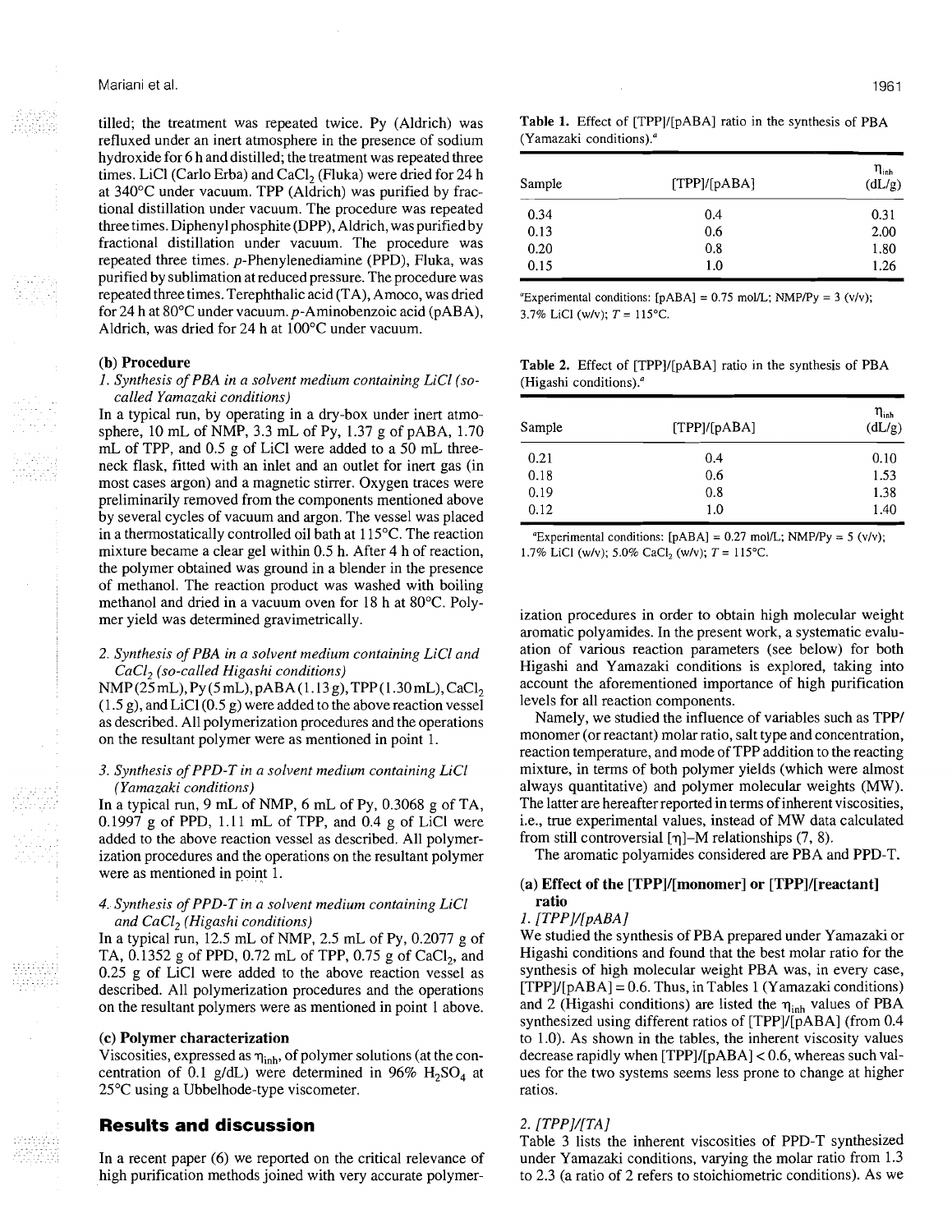tilled; the treatment was repeated twice. Py (Aldrich) was refluxed under an inert atmosphere in the presence of sodium hydroxide for 6 h and distilled; the treatment was repeated three times. LiCl (Carlo Erba) and CaCl<sub>2</sub> (Fluka) were dried for 24 h at 340°C under vacuum. TPP (Aldrich) was purified by fractional distillation under vacuum. The procedure was repeated three times. Diphenyl phosphite (DPP), Aldrich, was purified by fractional distillation under vacuum. The procedure was repeated three times. p-Phenylenediamine (PPD), Fluka, was purified by sublimation at reduced pressure. The procedure was repeated three times. Terephthalic acid (TA), Amoco, was dried for 24 h at  $80^{\circ}$ C under vacuum. p-Aminobenzoic acid (pABA), Aldrich, was dried for 24 h at 100°C under vacuum.

#### **(b)** Procedure

# 1. *Synthesis of* PBA *in a solvent medium containing LiCl (socalled Yamazaki conditions)*

In a typical run, by operating in a dry-box under inert atmosphere, 10 mL of NMP, 3.3 mL of Py, 1.37 g of pABA, 1.70 mL of TPP, and 0.5 g of LiCl were added to a 50 mL threeneck flask, fitted with an inlet and an outlet for inert gas (in most cases argon) and a magnetic stirrer. Oxygen traces were preliminarily removed from the components mentioned above by several cycles of vacuum and argon. The vessel was placed in a thermostatically controlled oil bath at 115°C. The reaction mixture became a clear gel within 0.5 h. After 4 h of reaction, the polymer obtained was ground in a blender in the presence of methanol. The reaction product was washed with boiling methanol and dried in a vacuum oven for 18 h at 80°C. Polymer yield was determined gravimetrically.

#### *2. Synthesis of* PBA *in a solvent medium containing LiCl and CaC12 (so-called Higashi conditions)*

NMP(25mL), Py(5mL), pABA(1.13 g), TPP(1.30mL), CaCl<sub>2</sub>  $(1.5 \text{ g})$ , and LiCl $(0.5 \text{ g})$  were added to the above reaction vessel as described. All polymerization procedures and the operations on the resultant polymer were as mentioned in point 1.

# *3. Synthesis of* PPD-T *in a solvent medium containing LiCl (Yamazaki conditions)*

In a typical run,  $9 \text{ mL of NMP}$ ,  $6 \text{ mL of Py}$ ,  $0.3068 \text{ g of TA}$ , 0.1997 g of PPD, 1.11 mL of TPP, and 0.4 g of LiCl were added to the above reaction vessel as described. All polymerization procedures and the operations on the resultant polymer were as mentioned in point 1.

# *4. Synthesis of* PPD-T *in a solvent medium containing LiCl and CaC12 (Higashi conditions)*

In a typical run, 12.5 mL of NMP, 2.5 mL of Py, 0.2077 g of TA,  $0.1352$  g of PPD,  $0.72$  mL of TPP,  $0.75$  g of CaCl<sub>2</sub>, and 0.25 g of LiCl were added to the above reaction vessel as described. All polymerization procedures and the operations on the resultant polymers were as mentioned in point 1 above.

#### (c) Polymer characterization

Viscosities, expressed as  $\eta_{\text{inh}}$ , of polymer solutions (at the concentration of 0.1 g/dL) were determined in 96%  $H_2SO_4$  at 25°C using a Ubbelhode-type viscometer.

# **Results and discussion**

In a recent paper (6) we reported on the critical relevance of high purification methods joined with very accurate polymer**Table 1.** Effect of [TPPl/[pABA] ratio in the synthesis of PBA (Yamazaki conditions)."

| Sample | [TPP]/[pABA] | $\eta_{\sf inh}$<br>(dL/g) |
|--------|--------------|----------------------------|
| 0.34   | 0.4          | 0.31                       |
| 0.13   | 0.6          | 2.00                       |
| 0.20   | 0.8          | 1.80                       |
| 0.15   | 1.0          | 1.26                       |

"Experimental conditions:  $[pABA] = 0.75 \text{ mol/L}$ ; NMP/Py = 3 (v/v); 3.7% LiCl (w/v);  $T = 115$ °C.

**Table 2.** Effect of [TPP]/[pABA] ratio in the synthesis of PBA (Higashi conditions)."

| Sample | [TPP]/[pABA] | $\eta_{\rm inh}$<br>(dL/g) |
|--------|--------------|----------------------------|
| 0.21   | 0.4          | 0.10                       |
| 0.18   | 0.6          | 1.53                       |
| 0.19   | 0.8          | 1.38                       |
| 0.12   | 1.0          | 1.40                       |

"Experimental conditions:  $[pABA] = 0.27 \text{ mol/L}$ ; NMP/Py = 5 (v/v); 1.7% LiCl (w/v); 5.0% CaCl, (w/v);  $T = 115$ °C.

ization procedures in order to obtain high molecular weight aromatic polyamides. In the present work, a systematic evaluation of various reaction parameters (see below) for both Higashi and Yamazaki conditions is explored, taking into account the aforementioned importance of high purification levels for all reaction components.

Namely, we studied the influence of variables such as TPP/ monomer (or reactant) molar ratio, salt type and concentration, reaction temperature, and mode of TPP addition to the reacting mixture, in terms of both polymer yields (which were almost always quantitative) and polymer molecular weights (MW). The latter are hereafter reported in terms of inherent viscosities, i.e., true experimental values, instead of MW data calculated from still controversial  $[\eta]$ -M relationships (7, 8).

The aromatic polyamides considered are PBA and PPD-T.

# (a) Effect of the  $[TPP]/[monomer]$  or  $[TPP]/[reactant]$ ratio

# $1. [TPP]/[pABA]$

We studied the synthesis of PBA prepared under Yamazaki or Higashi conditions and found that the best molar ratio for the synthesis of high molecular weight PBA was, in every case,  $[TPP]/[pABA] = 0.6$ . Thus, in Tables 1 (Yamazaki conditions) and 2 (Higashi conditions) are listed the  $\eta_{\text{inh}}$  values of PBA synthesized using different ratios of [TPP]/[pABA] (from 0.4 to 1.0). As shown in the tables, the inherent viscosity values decrease rapidly when [TPP]/[pABA] < 0.6, whereas such values for the two systems seems less prone to change at higher ratios.

# 2. [TPP]/[TA]

Table 3 lists the inherent viscosities of PPD-T synthesized under Yamazaki conditions, varying the molar ratio from 1.3 to 2.3 (a ratio of 2 refers to stoichiometric conditions). AS we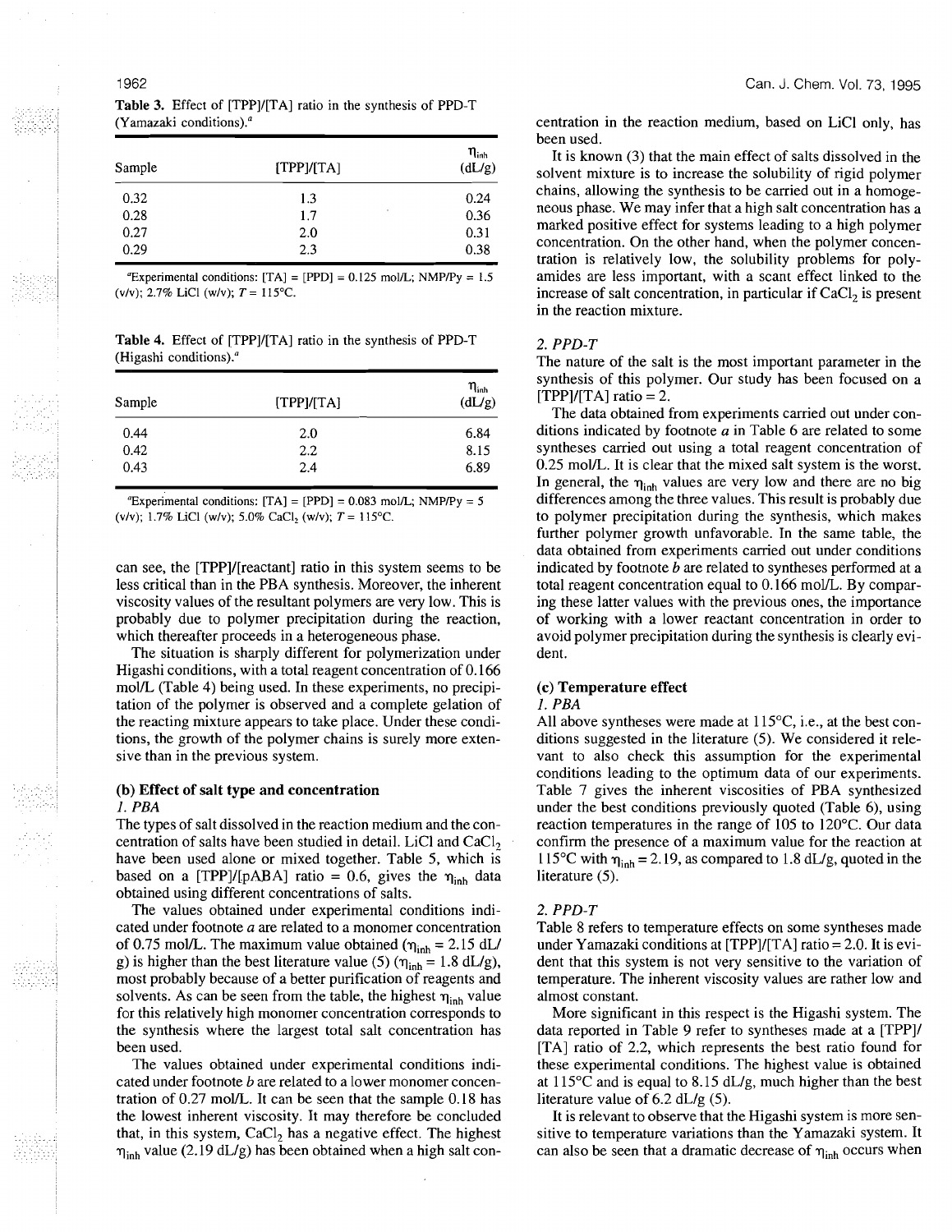|                                            |  | <b>Table 3.</b> Effect of [TPP]/[TA] ratio in the synthesis of PPD-T |  |
|--------------------------------------------|--|----------------------------------------------------------------------|--|
| (Yamazaki conditions). <sup><i>a</i></sup> |  |                                                                      |  |

| Sample | [TPP]/[TA]     | $\eta_{\text{inh}}$<br>(dL/g) |
|--------|----------------|-------------------------------|
| 0.32   | 1.3            | 0.24                          |
| 0.28   | $\cdot$<br>1.7 | 0.36                          |
| 0.27   | 2.0            | 0.31                          |
| 0.29   | 2.3            | 0.38                          |

"Experimental conditions:  $[TA] = [PPD] = 0.125$  mol/L; NMP/Py = 1.5 (v/v); 2.7% LiCl (w/v);  $T = 115$ °C.

**Table 4.** Effect of [TPP]/[TA] ratio in the synthesis of PPD-T (Higashi conditions)."

| Sample | [TPP]/[TA] | $\eta_{\scriptscriptstyle{\text{inh}}}$<br>(dL/g) |
|--------|------------|---------------------------------------------------|
| 0.44   | 2.0        | 6.84                                              |
| 0.42   | 2.2        | 8.15                                              |
| 0.43   | 2.4        | 6.89                                              |

"Experimental conditions:  $[TA] = [PPD] = 0.083 \text{ mol/L}$ ; NMP/Py = 5 (v/v); 1.7% LiCl (w/v); 5.0% CaCl<sub>2</sub> (w/v);  $T = 115$ °C.

can see, the [TPP]/[reactant] ratio in this system seems to be less critical than in the PBA synthesis. Moreover, the inherent viscosity values of the resultant polymers are very low. This is probably due to polymer precipitation during the reaction, which thereafter proceeds in a heterogeneous phase.

The situation is sharply different for polymerization under Higashi conditions, with a total reagent concentration of 0.166 mol/L (Table 4) being used. In these experiments, no precipitation of the polymer is observed and a complete gelation of the reacting mixture appears to take place. Under these conditions, the growth of the polymer chains is surely more extensive than in the previous system.

#### **(b)** Effect of salt type and concentration I. *PBA*

The types of salt dissolved in the reaction medium and the concentration of salts have been studied in detail. LiCl and  $CaCl<sub>2</sub>$ have been used alone or mixed together. Table 5, which is based on a [TPP]/[pABA] ratio = 0.6, gives the  $\eta_{\text{inh}}$  data obtained using different concentrations of salts.

The values obtained under experimental conditions indicated under footnote a are related to a monomer concentration of 0.75 mol/L. The maximum value obtained ( $\eta_{\text{inh}} = 2.15$  dL/ g) is higher than the best literature value (5) ( $\eta_{inh} = 1.8$  dL/g), most probably because of a better purification of reagents and solvents. As can be seen from the table, the highest  $\eta_{\text{inh}}$  value for this relatively high monomer concentration corresponds to the synthesis where the largest total salt concentration has been used.

The values obtained under experimental conditions indicated under footnote  $b$  are related to a lower monomer concentration of 0.27 mol/L. It can be seen that the sample 0.18 has the lowest inherent viscosity. It may therefore be concluded that, in this system,  $CaCl<sub>2</sub>$  has a negative effect. The highest  $\eta_{\text{inh}}$  value (2.19 dL/g) has been obtained when a high salt concentration in the reaction medium, based on LiCl only, has been used.

It is known **(3)** that the main effect of salts dissolved in the solvent mixture is to increase the solubility of rigid polymer chains, allowing the synthesis to be carried out in a homogeneous phase. We may infer that a high salt concentration has a marked positive effect for systems leading to a high polymer concentration. On the other hand, when the polymer concentration is relatively low, the solubility problems for polyamides are less important, with a scant effect linked to the increase of salt concentration, in particular if  $CaCl<sub>2</sub>$  is present in the reaction mixture.

# *2. PPD-T*

The nature of the salt is the most important parameter in the synthesis of this polymer. Our study has been focused on a  $[TPP]/[TA]$  ratio = 2.

The data obtained from experiments carried out under conditions indicated by footnote  $a$  in Table 6 are related to some syntheses carried out using a total reagent concentration of 0.25 mol/L. It is clear that the mixed salt system is the worst. In general, the  $\eta_{\text{inh}}$  values are very low and there are no big differences among the three values. This result is probably due to polymer precipitation during the synthesis, which makes further polymer growth unfavorable. In the same table, the data obtained from experiments carried out under conditions indicated by footnote b are related to syntheses performed at a total reagent concentration equal to 0.166 mol/L. By comparing these latter values with the previous ones, the importance of working with a lower reactant concentration in order to avoid polymer precipitation during the synthesis is clearly evident.

# (c) Temperature effect

# I. *PBA*

All above syntheses were made at  $115^{\circ}$ C, i.e., at the best conditions suggested in the literature (5). We considered it relevant to also check this assumption for the experimental conditions leading to the optimum data of our experiments. Table 7 gives the inherent viscosities of PBA synthesized under the best conditions previously quoted (Table 6), using reaction temperatures in the range of 105 to 120°C. Our data confirm the presence of a maximum value for the reaction at 115°C with  $\eta_{\text{inh}} = 2.19$ , as compared to 1.8 dL/g, quoted in the literature  $(5)$ .

# *2. PPD-T*

Table 8 refers to temperature effects on some syntheses made under Yamazaki conditions at  $[TPP]/[TA]$  ratio = 2.0. It is evident that this system is not very sensitive to the variation of temperature. The inherent viscosity values are rather low and almost constant.

More significant in this respect is the Higashi system. The data reported in Table 9 refer to syntheses made at a [TPP]/ [TA] ratio of 2.2, which represents the best ratio found for these experimental conditions. The highest value is obtained at 115°C and is equal to 8.15 dL/g, much higher than the best literature value of 6.2 dL/g (5).

It is relevant to observe that the Higashi system is more sensitive to temperature variations than the Yamazaki system. It can also be seen that a dramatic decrease of  $\eta_{\text{inh}}$  occurs when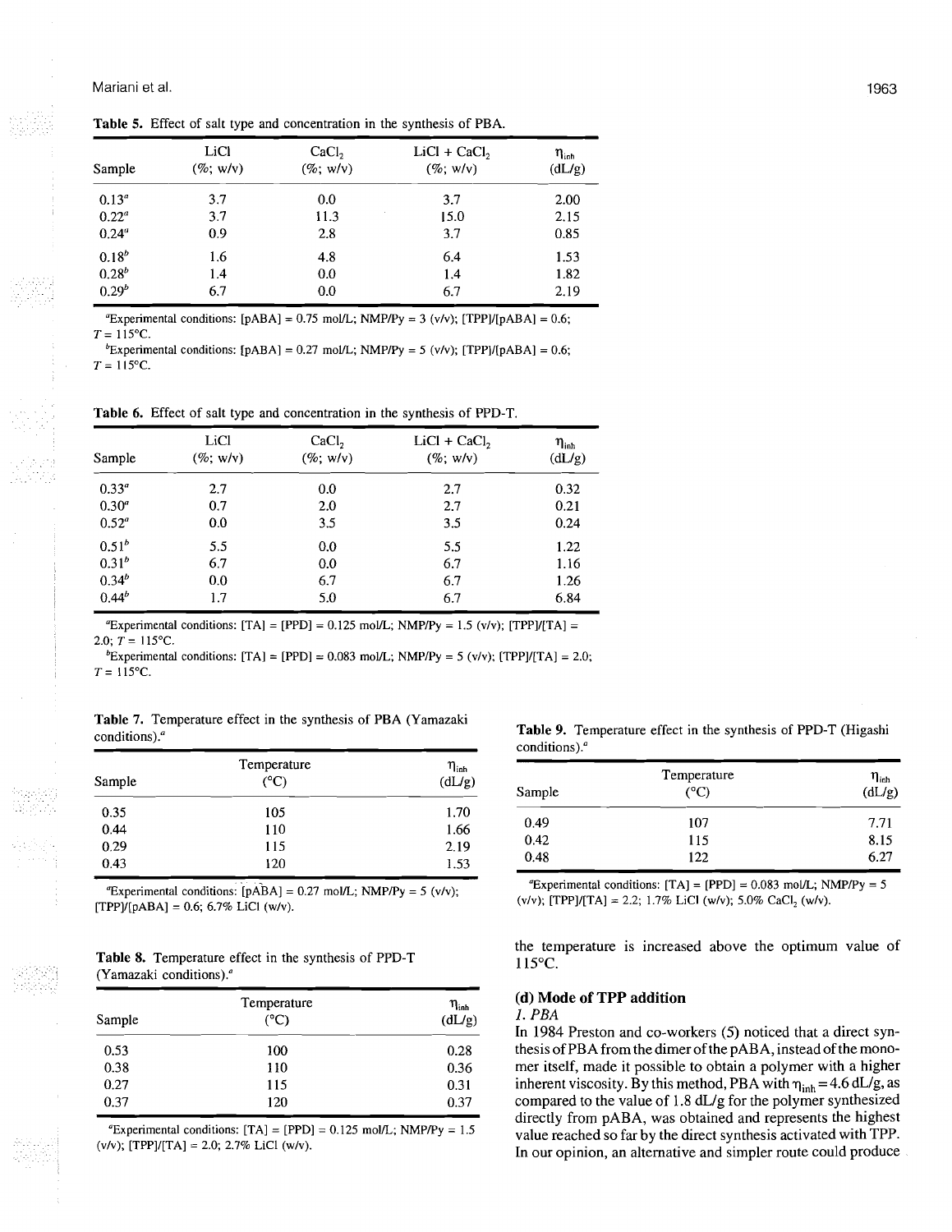**Table 5.** Effect of salt type and concentration in the synthesis of PBA.

| Sample            | LiCl<br>$(\%; w/v)$ | CaCl <sub>2</sub><br>$(\%; w/v)$ | $LiCl + CaCl2$<br>$(\%; w/v)$ | $\eta_{\rm inh}$<br>(dL/g) |
|-------------------|---------------------|----------------------------------|-------------------------------|----------------------------|
| 0.13 <sup>a</sup> | 3.7                 | 0.0                              | 3.7                           | 2.00                       |
| $0.22^a$          | 3.7                 | 11.3                             | 15.0                          | 2.15                       |
| $0.24^{\circ}$    | 0.9                 | 2.8                              | 3.7                           | 0.85                       |
| $0.18^{b}$        | 1.6                 | 4.8                              | 6.4                           | 1.53                       |
| $0.28^{b}$        | 1.4                 | 0.0                              | 1.4                           | 1.82                       |
| $0.29^{b}$        | 6.7                 | 0.0                              | 6.7                           | 2.19                       |

"Experimental conditions:  $[pABA] = 0.75 \text{ mol/L}$ ; NMP/Py = 3 (v/v); [TPP]/[pABA] = 0.6;  $T = 115$ °C.

<sup>b</sup>Experimental conditions:  $[pABA] = 0.27 \text{ mol/L}$ ; NMP/Py = 5 (v/v); [TPP]/[pABA] = 0.6;  $T = 115$ °C.

**Table 6.** Effect of salt type and concentration in the synthesis of PPD-T.

| Sample         | LiCl<br>$(\%; w/v)$ | CaCl <sub>2</sub><br>$(\%; w/v)$ | $LiCl + CaCl2$<br>$(\%; w/v)$                                                                       | $\eta_{\sf inh}$<br>(dL/g) |
|----------------|---------------------|----------------------------------|-----------------------------------------------------------------------------------------------------|----------------------------|
| $0.33^{\circ}$ | 2.7                 | 0.0                              | 2.7                                                                                                 | 0.32                       |
| $0.30^{a}$     | 0.7                 | 2.0                              | 2.7                                                                                                 | 0.21                       |
| $0.52^{\circ}$ | 0.0                 | 3.5                              | 3.5                                                                                                 | 0.24                       |
| $0.51^{b}$     | 5.5                 | 0.0                              | 5.5                                                                                                 | 1.22                       |
| $0.31^{b}$     | 6.7                 | 0.0                              | 6.7                                                                                                 | 1.16                       |
| $0.34^{b}$     | 0.0                 | 6.7                              | 6.7                                                                                                 | 1.26                       |
| $0.44^{b}$     | 1.7                 | 5.0                              | 6.7                                                                                                 | 6.84                       |
| .              |                     |                                  | "Experimental conditions: $[TA] = [PPD] = 0.125 \text{ mol/L}$ ; NMP/Py = 1.5 (v/v); $[TPP]/[TA] =$ |                            |

2.0;  $T = 115$ °C.

<sup>b</sup>Experimental conditions: [TA] = [PPD] = 0.083 mol/L; NMP/Py = 5 (v/v); [TPP]/[TA] = 2.0;  $T = 115$ °C.

**Table 7.** Temperature effect in the synthesis of PBA (Yamazaki

| $\overline{1}$ and $\overline{1}$ , $\overline{1}$ , $\overline{1}$ and $\overline{1}$ and $\overline{1}$ and $\overline{1}$ and $\overline{1}$ and $\overline{1}$ and $\overline{1}$ and $\overline{1}$ and $\overline{1}$ and $\overline{1}$ and $\overline{1}$ and $\overline{1}$ and $\overline{1}$ and $\overline{1}$ and $\overline$<br>conditions). <sup><i>a</i></sup> | <b>Table 9.</b> Temperature effect in the synthesis of PPD-T (Higashi) |  |
|--------------------------------------------------------------------------------------------------------------------------------------------------------------------------------------------------------------------------------------------------------------------------------------------------------------------------------------------------------------------------------|------------------------------------------------------------------------|--|
|                                                                                                                                                                                                                                                                                                                                                                                | conditions). $\alpha$                                                  |  |

|              |                     |                                                   | conditions). |                     |                            |
|--------------|---------------------|---------------------------------------------------|--------------|---------------------|----------------------------|
| Sample       | Temperature<br>(°C) | $\eta_{\scriptscriptstyle{\text{inh}}}$<br>(dL/g) | Sample       | Temperature<br>(°C) | $\eta_{\rm inh}$<br>(dL/g) |
| 0.35<br>0.44 | 105<br>110          | 1.70<br>1.66                                      | 0.49<br>0.42 | 107<br>115          | 7.71<br>8.15               |
| 0.29<br>0.43 | 115<br>120          | 2.19<br>1.53                                      | 0.48         | 122                 | 6.27                       |

"Experimental conditions:  $[pABA] = 0.27$  mol/L; NMP/Py = 5 (v/v);  $[TPP]/[pABA] = 0.6; 6.7%$  LiCl (w/v).

| Table 8. Temperature effect in the synthesis of PPD-T |  |  |
|-------------------------------------------------------|--|--|
| (Yamazaki conditions). $a$                            |  |  |

| Temperature<br>$(^{\circ}C)$<br>Sample |     | $\eta_{\sf inh}$<br>(dL/g) |
|----------------------------------------|-----|----------------------------|
| 0.53                                   | 100 | 0.28                       |
| 0.38                                   | 110 | 0.36                       |
| 0.27                                   | 115 | 0.31                       |
| 0.37                                   | 120 | 0.37                       |

"Experimental conditions:  $[TA] = [PPD] = 0.125 \text{ mol/L}$ ; NMP/Py = 1.5  $(v/v)$ ; [TPP]/[TA] = 2.0; 2.7% LiCl (w/v).

1963

| $\eta_{\scriptscriptstyle{\text{inh}}}$<br>(dL/g) | Sample | Temperature<br>(°C) | $\eta_{\scriptscriptstyle{\text{lab}}}$<br>(dL/g) |
|---------------------------------------------------|--------|---------------------|---------------------------------------------------|
| 1.70<br>1.66                                      | 0.49   | 107                 | 7.71                                              |
| 2.19                                              | 0.42   | 115                 | 8.15                                              |
| 1.53                                              | 0.48   | 122                 | 6.27                                              |

"Experimental conditions:  $[TA] = [PPD] = 0.083$  mol/L; NMP/Py = 5 (v/v); [TPP]/[TA] = 2.2; 1.7% LiCl (w/v); 5.0% CaCl<sub>2</sub> (w/v).

the temperature is increased above the optimum value of 115°C.

# **(d) Mode of TPP addition**

# **1. PBA**

In 1984 Preston and co-workers (5) noticed that a direct synthesis of PBA from the dimer of the PABA, instead of the monomer itself, made it possible to obtain a polymer with a higher inherent viscosity. By this method, PBA with  $\eta_{\text{inh}} = 4.6$  dL/g, as compared to the value of 1.8 dL/g for the polymer synthesized directly from PABA, was obtained and represents the highest value reached so far by the direct synthesis activated with TPP. In our opinion, an alternative and simpler route could produce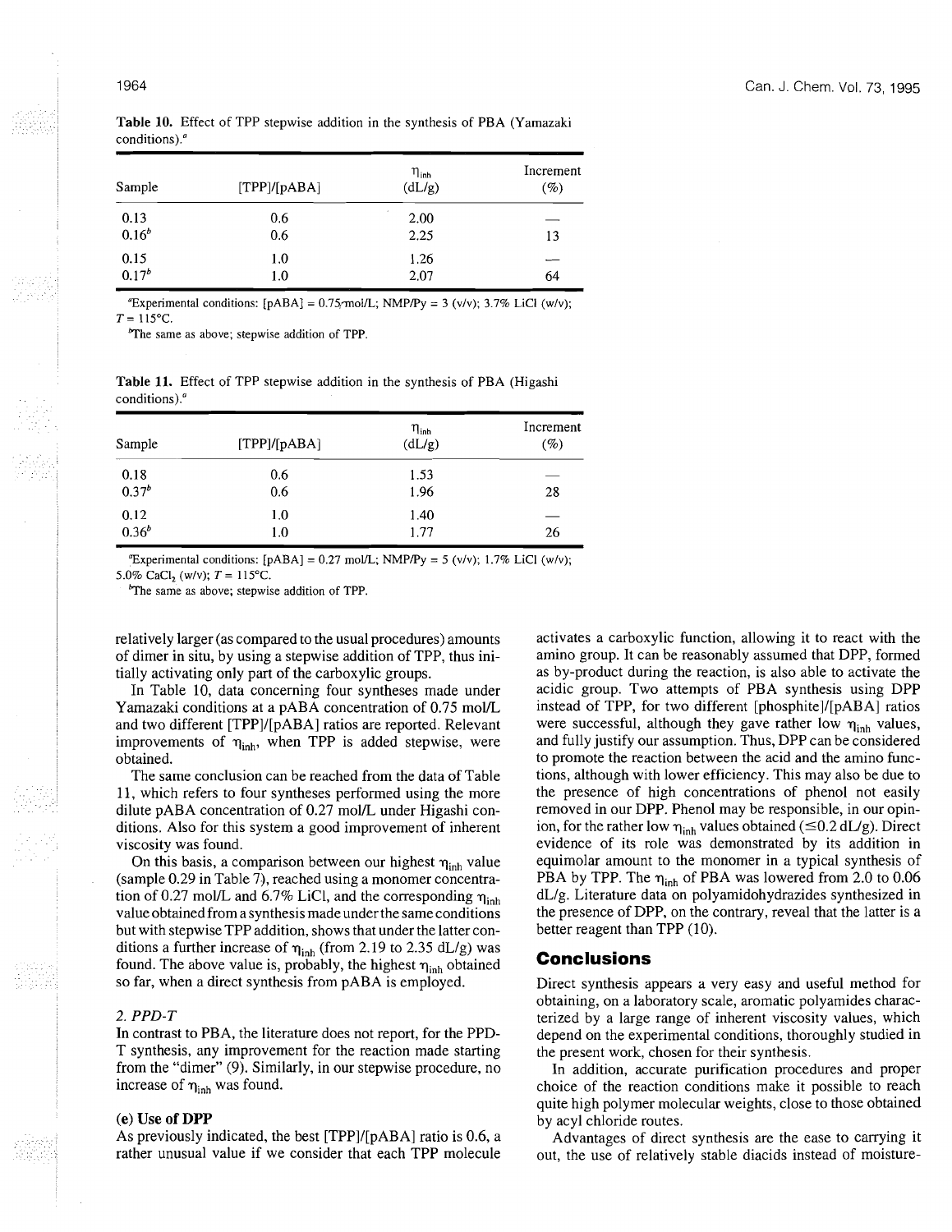| Sample             | [TPP]/[pABA]      | $\eta_{\sf inh}$<br>(dL/g) | Increment<br>$(\%)$ |
|--------------------|-------------------|----------------------------|---------------------|
| 0.13<br>$0.16^{b}$ | 0.6<br>0.6        | 2.00<br>2.25               | 13                  |
| 0.15<br>$0.17^{b}$ | 1.0<br>1.0<br>. . | 1.26<br>2.07               | 64                  |

**Table 10.** Effect of TPP stepwise addition in the synthesis of PBA (Yamazaki conditions).

"Experimental conditions:  $[pABA] = 0.75$  mol/L; NMP/Py = 3 (v/v); 3.7% LiCl (w/v);  $T = 115^{\circ}C$ .

<sup>b</sup>The same as above; stepwise addition of TPP.

**Table 11.** Effect of TPP stepwise addition in the synthesis of PBA (Higashi  $T = 115^{\circ}\text{C}$ .<br>
The same as above; stepwise addition of TPP.<br>
Table 11. Effect of TPP stepwise addition in the synthesis of PBA (Higashi conditions).<br>
Table 11. Effect of TPP stepwise addition in the synthesis of PBA (

| Sample     | [TPP]/[pABA] | $\eta_{\rm inh}$<br>(dL/g) | Increment<br>$(\%)$ |
|------------|--------------|----------------------------|---------------------|
| 0.18       | 0.6          | 1.53                       | 28                  |
| $0.37^{b}$ | 0.6          | 1.96                       |                     |
| 0.12       | 1.0          | 1.40                       | 26                  |
| $0.36^{b}$ | $1.0\,$      | 1.77                       |                     |

"Experimental conditions: [pABA] =  $0.27$  mol/L; NMP/Py =  $5$  (v/v); 1.7% LiCl (w/v);

5.0% CaCl<sub>2</sub> (w/v);  $T = 115$ °C.

The same as above; stepwise addition of TPP.

relatively larger (as compared to the usual procedures) amounts of dimer in situ, by using a stepwise addition of TPP, thus initially activating only part of the carboxylic groups.

In Table 10, data concerning four syntheses made under Yamazaki conditions at a pABA concentration of 0.75 mol/L and two different [TPP]/[pABA] ratios are reported. Relevant improvements of  $\eta_{\text{inh}}$ , when TPP is added stepwise, were obtained.

The same conclusion can be reached from the data of Table 11, which refers to four syntheses performed using the more dilute  $pABA$  concentration of 0.27 mol/L under Higashi conditions. Also for this system a good improvement of inherent viscosity was found.

On this basis, a comparison between our highest  $\eta_{\text{inh}}$  value (sample 0.29 in Table 7), reached using a monomer concentration of 0.27 mol/L and 6.7% LiCl, and the corresponding  $\eta_{\text{inh}}$ value obtained from a synthesis made under the same conditions but with stepwise TPP addition, shows that under the latter conditions a further increase of  $\eta_{\text{inh}}$  (from 2.19 to 2.35 dL/g) was found. The above value is, probably, the highest  $\eta_{inh}$  obtained so far, when a direct synthesis from pABA is employed.

#### 2. *PPD-T*

In contrast to PBA, the literature does not report, for the PPD-T synthesis, any improvement for the reaction made starting from the "dimer" (9). Similarly, in our stepwise procedure, no increase of  $\eta_{\text{inh}}$  was found.

#### (e) Use **of** DPP

As previously indicated, the best [TPP]/[pABA] ratio is 0.6, a rather unusual value if we consider that each TPP molecule activates a carboxylic function, allowing it to react with the amino group. It can be reasonably assumed that DPP, formed as by-product during the reaction, is also able to activate the acidic group. Two attempts of PBA synthesis using DPP instead of TPP, for two different [phosphite]/[pABA] ratios were successful, although they gave rather low  $\eta_{\text{inh}}$  values, and fully justify our assumption. Thus, DPP can be considered to promote the reaction between the acid and the amino functions, although with lower efficiency. This may also be due to the presence of high concentrations of phenol not easily removed in our DPP. Phenol may be responsible, in our opinion, for the rather low  $\eta_{inh}$  values obtained ( $\leq 0.2$  dL/g). Direct evidence of its role was demonstrated by its addition in equimolar amount to the monomer in a typical synthesis of PBA by TPP. The  $\eta_{\text{inh}}$  of PBA was lowered from 2.0 to 0.06 dL/g. Literature data on polyamidohydrazides synthesized in the presence of DPP, on the contrary, reveal that the latter is a better reagent than TPP (10).

# **Conclusions**

Direct synthesis appears a very easy and useful method for obtaining, on a laboratory scale, aromatic polyamides characterized by a large range of inherent viscosity values, which depend on the experimental conditions, thoroughly studied in the present work, chosen for their synthesis.

In addition, accurate purification procedures and proper choice of the reaction conditions make it possible to reach quite high polymer molecular weights, close to those obtained by acyl chloride routes.

Advantages of direct synthesis are the ease to carrying it out, the use of relatively stable diacids instead of moisture-

### 1964